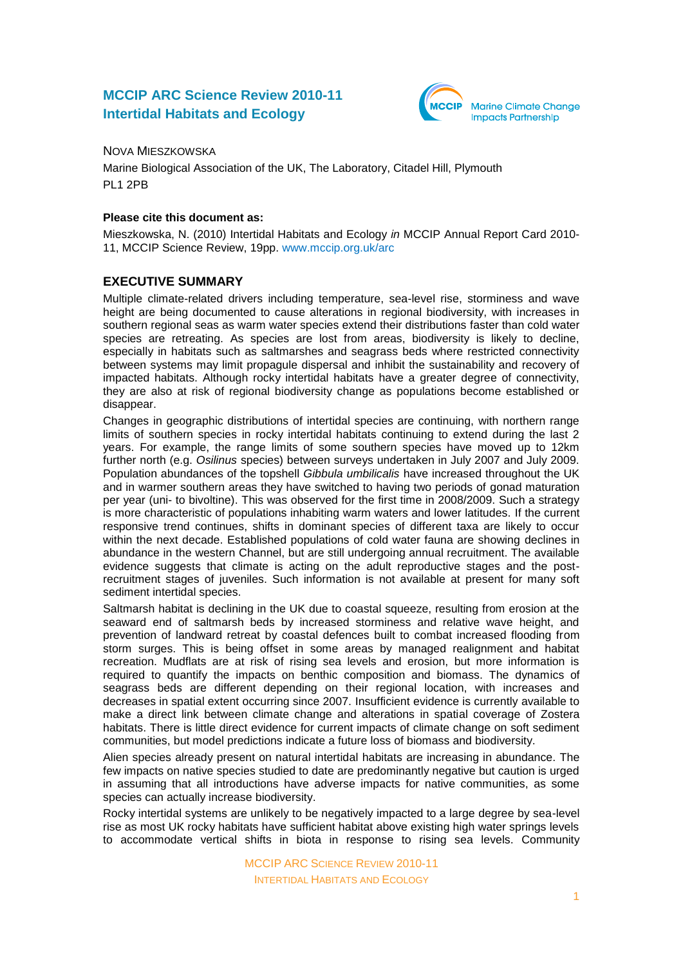# **MCCIP ARC Science Review 2010-11 Intertidal Habitats and Ecology**



### NOVA MIESZKOWSKA

Marine Biological Association of the UK, The Laboratory, Citadel Hill, Plymouth PL1 2PB

### **Please cite this document as:**

Mieszkowska, N. (2010) Intertidal Habitats and Ecology *in* MCCIP Annual Report Card 2010- 11, MCCIP Science Review, 19pp. [www.mccip.org.uk/arc](http://www.mccip.org.uk/arc)

# **EXECUTIVE SUMMARY**

Multiple climate-related drivers including temperature, sea-level rise, storminess and wave height are being documented to cause alterations in regional biodiversity, with increases in southern regional seas as warm water species extend their distributions faster than cold water species are retreating. As species are lost from areas, biodiversity is likely to decline, especially in habitats such as saltmarshes and seagrass beds where restricted connectivity between systems may limit propagule dispersal and inhibit the sustainability and recovery of impacted habitats. Although rocky intertidal habitats have a greater degree of connectivity, they are also at risk of regional biodiversity change as populations become established or disappear.

Changes in geographic distributions of intertidal species are continuing, with northern range limits of southern species in rocky intertidal habitats continuing to extend during the last 2 years. For example, the range limits of some southern species have moved up to 12km further north (e.g. *Osilinus* species) between surveys undertaken in July 2007 and July 2009. Population abundances of the topshell *Gibbula umbilicalis* have increased throughout the UK and in warmer southern areas they have switched to having two periods of gonad maturation per year (uni- to bivoltine). This was observed for the first time in 2008/2009. Such a strategy is more characteristic of populations inhabiting warm waters and lower latitudes. If the current responsive trend continues, shifts in dominant species of different taxa are likely to occur within the next decade. Established populations of cold water fauna are showing declines in abundance in the western Channel, but are still undergoing annual recruitment. The available evidence suggests that climate is acting on the adult reproductive stages and the postrecruitment stages of juveniles. Such information is not available at present for many soft sediment intertidal species.

Saltmarsh habitat is declining in the UK due to coastal squeeze, resulting from erosion at the seaward end of saltmarsh beds by increased storminess and relative wave height, and prevention of landward retreat by coastal defences built to combat increased flooding from storm surges. This is being offset in some areas by managed realignment and habitat recreation. Mudflats are at risk of rising sea levels and erosion, but more information is required to quantify the impacts on benthic composition and biomass. The dynamics of seagrass beds are different depending on their regional location, with increases and decreases in spatial extent occurring since 2007. Insufficient evidence is currently available to make a direct link between climate change and alterations in spatial coverage of Zostera habitats. There is little direct evidence for current impacts of climate change on soft sediment communities, but model predictions indicate a future loss of biomass and biodiversity.

Alien species already present on natural intertidal habitats are increasing in abundance. The few impacts on native species studied to date are predominantly negative but caution is urged in assuming that all introductions have adverse impacts for native communities, as some species can actually increase biodiversity.

Rocky intertidal systems are unlikely to be negatively impacted to a large degree by sea-level rise as most UK rocky habitats have sufficient habitat above existing high water springs levels to accommodate vertical shifts in biota in response to rising sea levels. Community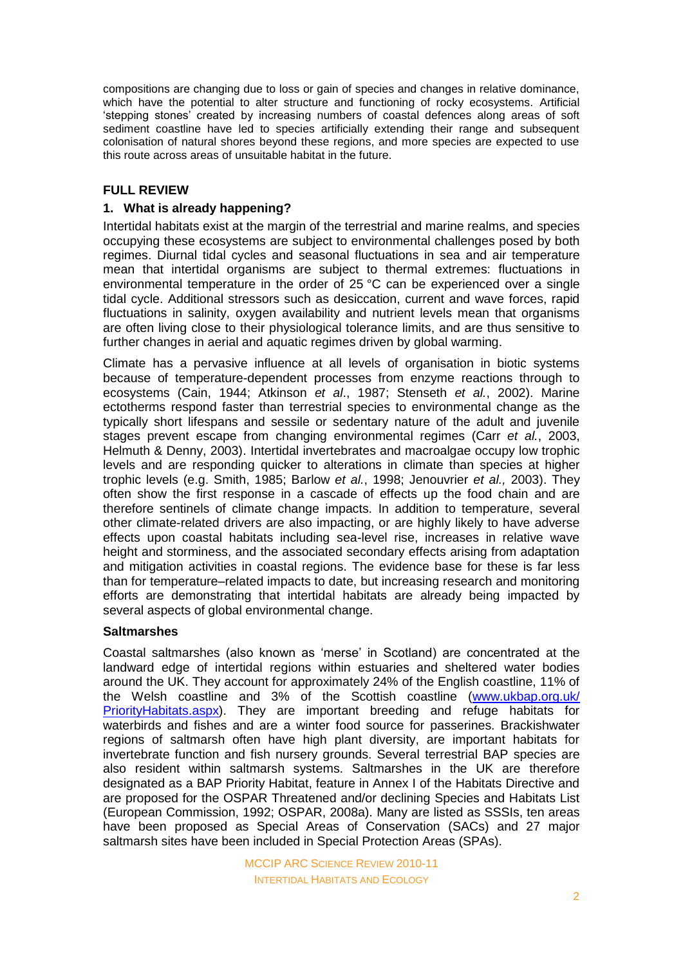compositions are changing due to loss or gain of species and changes in relative dominance, which have the potential to alter structure and functioning of rocky ecosystems. Artificial 'stepping stones' created by increasing numbers of coastal defences along areas of soft sediment coastline have led to species artificially extending their range and subsequent colonisation of natural shores beyond these regions, and more species are expected to use this route across areas of unsuitable habitat in the future.

# **FULL REVIEW**

### **1. What is already happening?**

Intertidal habitats exist at the margin of the terrestrial and marine realms, and species occupying these ecosystems are subject to environmental challenges posed by both regimes. Diurnal tidal cycles and seasonal fluctuations in sea and air temperature mean that intertidal organisms are subject to thermal extremes: fluctuations in environmental temperature in the order of 25 °C can be experienced over a single tidal cycle. Additional stressors such as desiccation, current and wave forces, rapid fluctuations in salinity, oxygen availability and nutrient levels mean that organisms are often living close to their physiological tolerance limits, and are thus sensitive to further changes in aerial and aquatic regimes driven by global warming.

Climate has a pervasive influence at all levels of organisation in biotic systems because of temperature-dependent processes from enzyme reactions through to ecosystems (Cain, 1944; Atkinson *et al*., 1987; Stenseth *et al.*, 2002). Marine ectotherms respond faster than terrestrial species to environmental change as the typically short lifespans and sessile or sedentary nature of the adult and juvenile stages prevent escape from changing environmental regimes (Carr *et al.*, 2003, Helmuth & Denny, 2003). Intertidal invertebrates and macroalgae occupy low trophic levels and are responding quicker to alterations in climate than species at higher trophic levels (e.g. Smith, 1985; Barlow *et al.*, 1998; Jenouvrier *et al.,* 2003). They often show the first response in a cascade of effects up the food chain and are therefore sentinels of climate change impacts. In addition to temperature, several other climate-related drivers are also impacting, or are highly likely to have adverse effects upon coastal habitats including sea-level rise, increases in relative wave height and storminess, and the associated secondary effects arising from adaptation and mitigation activities in coastal regions. The evidence base for these is far less than for temperature–related impacts to date, but increasing research and monitoring efforts are demonstrating that intertidal habitats are already being impacted by several aspects of global environmental change.

#### **Saltmarshes**

Coastal saltmarshes (also known as 'merse' in Scotland) are concentrated at the landward edge of intertidal regions within estuaries and sheltered water bodies around the UK. They account for approximately 24% of the English coastline, 11% of the Welsh coastline and 3% of the Scottish coastline [\(www.ukbap.org.uk/](http://www.ukbap.org.uk/PriorityHabitats.aspx) [PriorityHabitats.aspx\)](http://www.ukbap.org.uk/PriorityHabitats.aspx). They are important breeding and refuge habitats for waterbirds and fishes and are a winter food source for passerines. Brackishwater regions of saltmarsh often have high plant diversity, are important habitats for invertebrate function and fish nursery grounds. Several terrestrial BAP species are also resident within saltmarsh systems. Saltmarshes in the UK are therefore designated as a BAP Priority Habitat, feature in Annex I of the Habitats Directive and are proposed for the OSPAR Threatened and/or declining Species and Habitats List (European Commission, 1992; OSPAR, 2008a). Many are listed as SSSIs, ten areas have been proposed as Special Areas of Conservation (SACs) and 27 major saltmarsh sites have been included in Special Protection Areas (SPAs).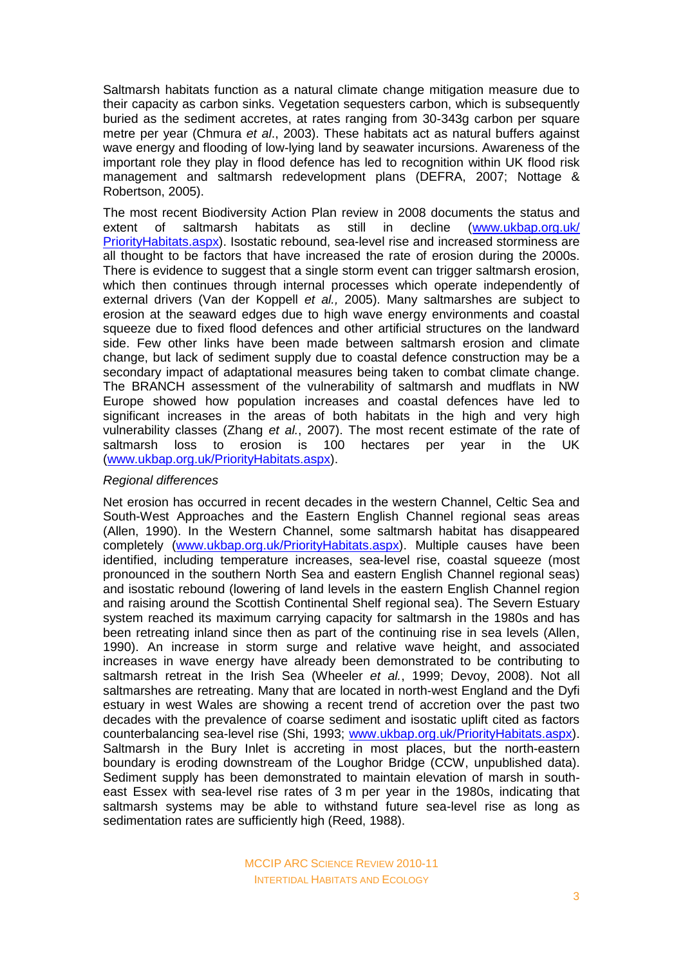Saltmarsh habitats function as a natural climate change mitigation measure due to their capacity as carbon sinks. Vegetation sequesters carbon, which is subsequently buried as the sediment accretes, at rates ranging from 30-343g carbon per square metre per year (Chmura *et al*., 2003). These habitats act as natural buffers against wave energy and flooding of low-lying land by seawater incursions. Awareness of the important role they play in flood defence has led to recognition within UK flood risk management and saltmarsh redevelopment plans (DEFRA, 2007; Nottage & Robertson, 2005).

The most recent Biodiversity Action Plan review in 2008 documents the status and extent of saltmarsh habitats as still in decline [\(www.ukbap.org.uk/](http://www.ukbap.org.uk/PriorityHabitats.aspx) [PriorityHabitats.aspx\)](http://www.ukbap.org.uk/PriorityHabitats.aspx). Isostatic rebound, sea-level rise and increased storminess are all thought to be factors that have increased the rate of erosion during the 2000s. There is evidence to suggest that a single storm event can trigger saltmarsh erosion, which then continues through internal processes which operate independently of external drivers (Van der Koppell *et al.,* 2005). Many saltmarshes are subject to erosion at the seaward edges due to high wave energy environments and coastal squeeze due to fixed flood defences and other artificial structures on the landward side. Few other links have been made between saltmarsh erosion and climate change, but lack of sediment supply due to coastal defence construction may be a secondary impact of adaptational measures being taken to combat climate change. The BRANCH assessment of the vulnerability of saltmarsh and mudflats in NW Europe showed how population increases and coastal defences have led to significant increases in the areas of both habitats in the high and very high vulnerability classes (Zhang *et al.*, 2007). The most recent estimate of the rate of saltmarsh loss to erosion is 100 hectares per year in the UK [\(www.ukbap.org.uk/PriorityHabitats.aspx\)](http://www.ukbap.org.uk/PriorityHabitats.aspx).

#### *Regional differences*

Net erosion has occurred in recent decades in the western Channel, Celtic Sea and South-West Approaches and the Eastern English Channel regional seas areas (Allen, 1990). In the Western Channel, some saltmarsh habitat has disappeared completely [\(www.ukbap.org.uk/PriorityHabitats.aspx\)](http://www.ukbap.org.uk/PriorityHabitats.aspx). Multiple causes have been identified, including temperature increases, sea-level rise, coastal squeeze (most pronounced in the southern North Sea and eastern English Channel regional seas) and isostatic rebound (lowering of land levels in the eastern English Channel region and raising around the Scottish Continental Shelf regional sea). The Severn Estuary system reached its maximum carrying capacity for saltmarsh in the 1980s and has been retreating inland since then as part of the continuing rise in sea levels (Allen, 1990). An increase in storm surge and relative wave height, and associated increases in wave energy have already been demonstrated to be contributing to saltmarsh retreat in the Irish Sea (Wheeler *et al.*, 1999; Devoy, 2008). Not all saltmarshes are retreating. Many that are located in north-west England and the Dyfi estuary in west Wales are showing a recent trend of accretion over the past two decades with the prevalence of coarse sediment and isostatic uplift cited as factors counterbalancing sea-level rise (Shi, 1993; [www.ukbap.org.uk/PriorityHabitats.aspx\)](http://www.ukbap.org.uk/PriorityHabitats.aspx). Saltmarsh in the Bury Inlet is accreting in most places, but the north-eastern boundary is eroding downstream of the Loughor Bridge (CCW, unpublished data). Sediment supply has been demonstrated to maintain elevation of marsh in southeast Essex with sea-level rise rates of 3 m per year in the 1980s, indicating that saltmarsh systems may be able to withstand future sea-level rise as long as sedimentation rates are sufficiently high (Reed, 1988).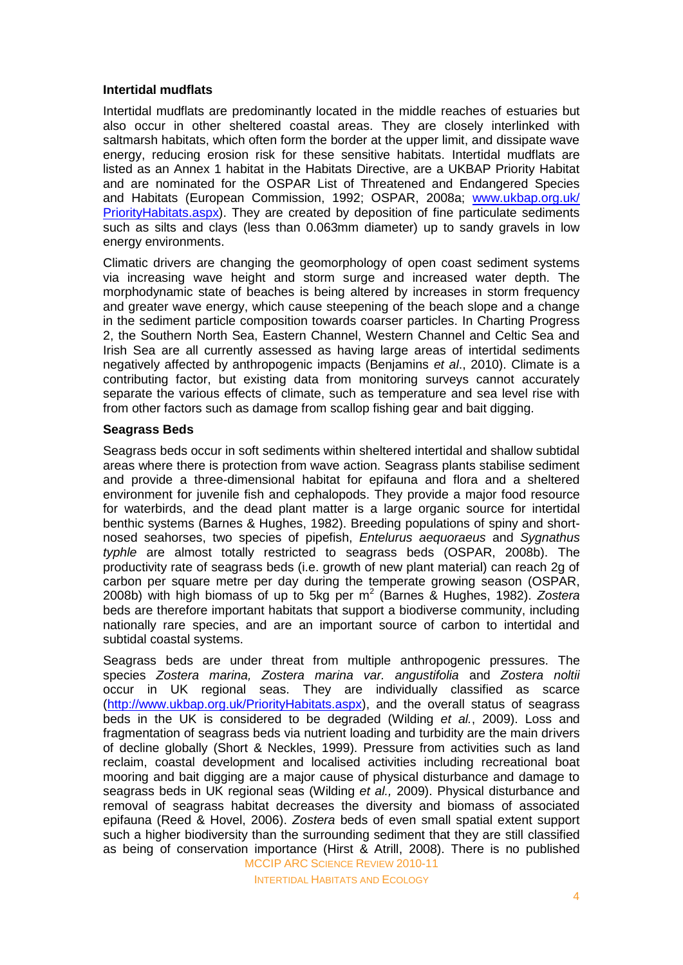### **Intertidal mudflats**

Intertidal mudflats are predominantly located in the middle reaches of estuaries but also occur in other sheltered coastal areas. They are closely interlinked with saltmarsh habitats, which often form the border at the upper limit, and dissipate wave energy, reducing erosion risk for these sensitive habitats. Intertidal mudflats are listed as an Annex 1 habitat in the Habitats Directive, are a UKBAP Priority Habitat and are nominated for the OSPAR List of Threatened and Endangered Species and Habitats (European Commission, 1992; OSPAR, 2008a; [www.ukbap.org.uk/](http://www.ukbap.org.uk/PriorityHabitats.aspx) [PriorityHabitats.aspx\)](http://www.ukbap.org.uk/PriorityHabitats.aspx). They are created by deposition of fine particulate sediments such as silts and clays (less than 0.063mm diameter) up to sandy gravels in low energy environments.

Climatic drivers are changing the geomorphology of open coast sediment systems via increasing wave height and storm surge and increased water depth. The morphodynamic state of beaches is being altered by increases in storm frequency and greater wave energy, which cause steepening of the beach slope and a change in the sediment particle composition towards coarser particles. In Charting Progress 2, the Southern North Sea, Eastern Channel, Western Channel and Celtic Sea and Irish Sea are all currently assessed as having large areas of intertidal sediments negatively affected by anthropogenic impacts (Benjamins *et al*., 2010). Climate is a contributing factor, but existing data from monitoring surveys cannot accurately separate the various effects of climate, such as temperature and sea level rise with from other factors such as damage from scallop fishing gear and bait digging.

### **Seagrass Beds**

Seagrass beds occur in soft sediments within sheltered intertidal and shallow subtidal areas where there is protection from wave action. Seagrass plants stabilise sediment and provide a three-dimensional habitat for epifauna and flora and a sheltered environment for juvenile fish and cephalopods. They provide a major food resource for waterbirds, and the dead plant matter is a large organic source for intertidal benthic systems (Barnes & Hughes, 1982). Breeding populations of spiny and shortnosed seahorses, two species of pipefish, *Entelurus aequoraeus* and *Sygnathus typhle* are almost totally restricted to seagrass beds (OSPAR, 2008b). The productivity rate of seagrass beds (i.e. growth of new plant material) can reach 2g of carbon per square metre per day during the temperate growing season (OSPAR, 2008b) with high biomass of up to 5kg per m<sup>2</sup> (Barnes & Hughes, 1982). Zostera beds are therefore important habitats that support a biodiverse community, including nationally rare species, and are an important source of carbon to intertidal and subtidal coastal systems.

MCCIP ARC SCIENCE REVIEW 2010-11 Seagrass beds are under threat from multiple anthropogenic pressures. The species *Zostera marina, Zostera marina var. angustifolia* and *Zostera noltii* occur in UK regional seas. They are individually classified as scarce [\(http://www.ukbap.org.uk/PriorityHabitats.aspx\)](http://www.ukbap.org.uk/KPlans.aspx?ID=33), and the overall status of seagrass beds in the UK is considered to be degraded (Wilding *et al.*, 2009). Loss and fragmentation of seagrass beds via nutrient loading and turbidity are the main drivers of decline globally (Short & Neckles, 1999). Pressure from activities such as land reclaim, coastal development and localised activities including recreational boat mooring and bait digging are a major cause of physical disturbance and damage to seagrass beds in UK regional seas (Wilding *et al.,* 2009). Physical disturbance and removal of seagrass habitat decreases the diversity and biomass of associated epifauna (Reed & Hovel, 2006). *Zostera* beds of even small spatial extent support such a higher biodiversity than the surrounding sediment that they are still classified as being of conservation importance (Hirst & Atrill, 2008). There is no published

INTERTIDAL HABITATS AND ECOLOGY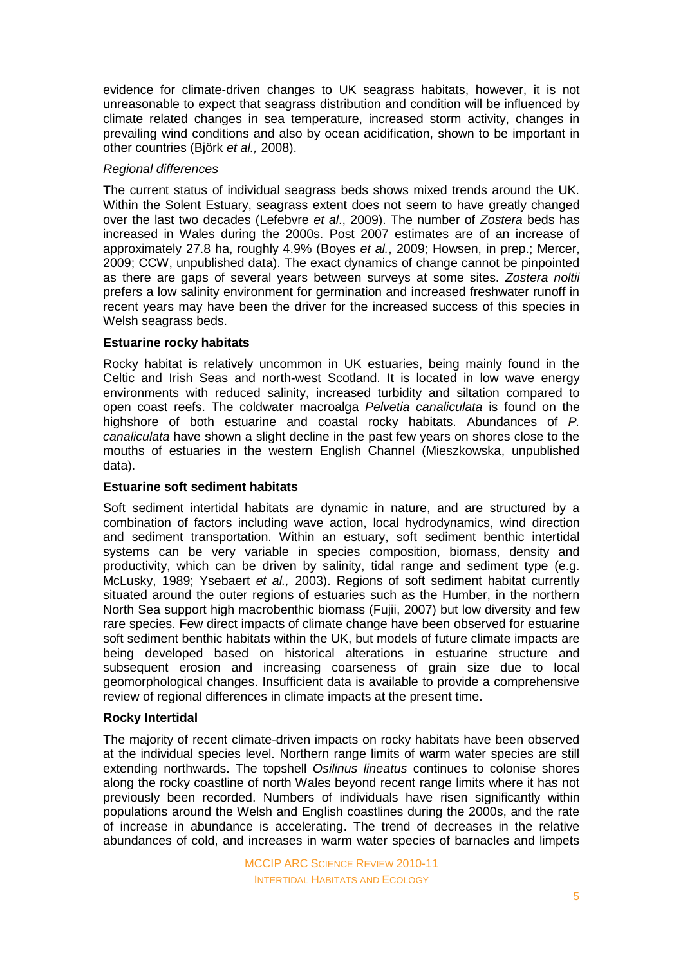evidence for climate-driven changes to UK seagrass habitats, however, it is not unreasonable to expect that seagrass distribution and condition will be influenced by climate related changes in sea temperature, increased storm activity, changes in prevailing wind conditions and also by ocean acidification, shown to be important in other countries (Björk *et al.,* 2008).

### *Regional differences*

The current status of individual seagrass beds shows mixed trends around the UK. Within the Solent Estuary, seagrass extent does not seem to have greatly changed over the last two decades (Lefebvre *et al*., 2009). The number of *Zostera* beds has increased in Wales during the 2000s. Post 2007 estimates are of an increase of approximately 27.8 ha, roughly 4.9% (Boyes *et al.*, 2009; Howsen, in prep.; Mercer, 2009; CCW, unpublished data). The exact dynamics of change cannot be pinpointed as there are gaps of several years between surveys at some sites. *Zostera noltii* prefers a low salinity environment for germination and increased freshwater runoff in recent years may have been the driver for the increased success of this species in Welsh seagrass beds.

### **Estuarine rocky habitats**

Rocky habitat is relatively uncommon in UK estuaries, being mainly found in the Celtic and Irish Seas and north-west Scotland. It is located in low wave energy environments with reduced salinity, increased turbidity and siltation compared to open coast reefs. The coldwater macroalga *Pelvetia canaliculata* is found on the highshore of both estuarine and coastal rocky habitats. Abundances of *P. canaliculata* have shown a slight decline in the past few years on shores close to the mouths of estuaries in the western English Channel (Mieszkowska, unpublished data).

### **Estuarine soft sediment habitats**

Soft sediment intertidal habitats are dynamic in nature, and are structured by a combination of factors including wave action, local hydrodynamics, wind direction and sediment transportation. Within an estuary, soft sediment benthic intertidal systems can be very variable in species composition, biomass, density and productivity, which can be driven by salinity, tidal range and sediment type (e.g. McLusky, 1989; Ysebaert *et al.,* 2003). Regions of soft sediment habitat currently situated around the outer regions of estuaries such as the Humber, in the northern North Sea support high macrobenthic biomass (Fujii, 2007) but low diversity and few rare species. Few direct impacts of climate change have been observed for estuarine soft sediment benthic habitats within the UK, but models of future climate impacts are being developed based on historical alterations in estuarine structure and subsequent erosion and increasing coarseness of grain size due to local geomorphological changes. Insufficient data is available to provide a comprehensive review of regional differences in climate impacts at the present time.

#### **Rocky Intertidal**

The majority of recent climate-driven impacts on rocky habitats have been observed at the individual species level. Northern range limits of warm water species are still extending northwards. The topshell *Osilinus lineatus* continues to colonise shores along the rocky coastline of north Wales beyond recent range limits where it has not previously been recorded. Numbers of individuals have risen significantly within populations around the Welsh and English coastlines during the 2000s, and the rate of increase in abundance is accelerating. The trend of decreases in the relative abundances of cold, and increases in warm water species of barnacles and limpets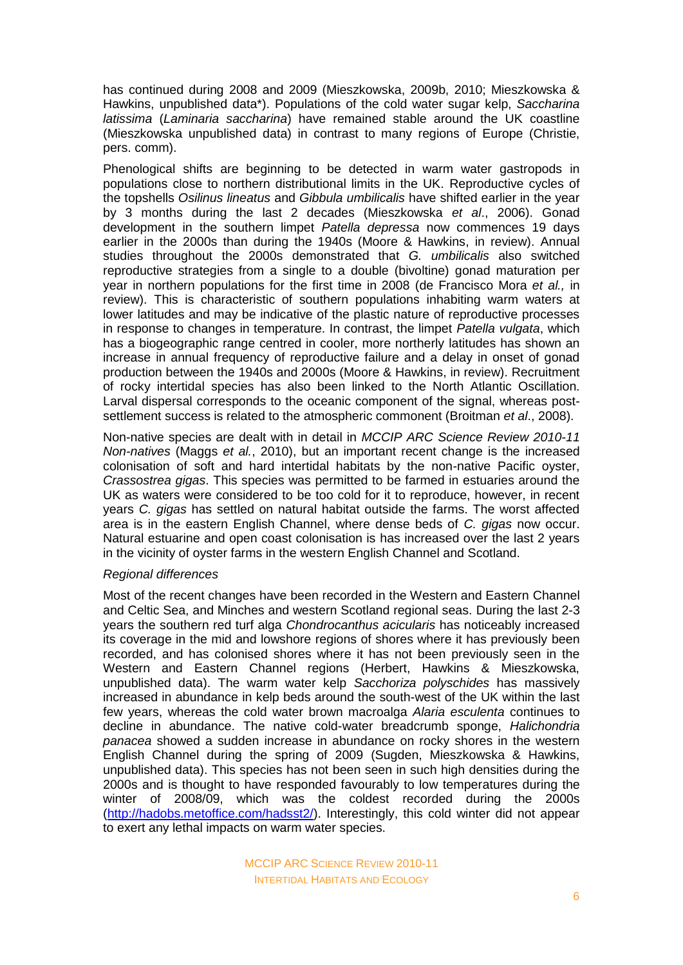has continued during 2008 and 2009 (Mieszkowska, 2009b, 2010; Mieszkowska & Hawkins, unpublished data\*). Populations of the cold water sugar kelp, *Saccharina latissima* (*Laminaria saccharina*) have remained stable around the UK coastline (Mieszkowska unpublished data) in contrast to many regions of Europe (Christie, pers. comm).

Phenological shifts are beginning to be detected in warm water gastropods in populations close to northern distributional limits in the UK. Reproductive cycles of the topshells *Osilinus lineatus* and *Gibbula umbilicalis* have shifted earlier in the year by 3 months during the last 2 decades (Mieszkowska *et al*., 2006). Gonad development in the southern limpet *Patella depressa* now commences 19 days earlier in the 2000s than during the 1940s (Moore & Hawkins, in review). Annual studies throughout the 2000s demonstrated that *G. umbilicalis* also switched reproductive strategies from a single to a double (bivoltine) gonad maturation per year in northern populations for the first time in 2008 (de Francisco Mora *et al.,* in review). This is characteristic of southern populations inhabiting warm waters at lower latitudes and may be indicative of the plastic nature of reproductive processes in response to changes in temperature. In contrast, the limpet *Patella vulgata*, which has a biogeographic range centred in cooler, more northerly latitudes has shown an increase in annual frequency of reproductive failure and a delay in onset of gonad production between the 1940s and 2000s (Moore & Hawkins, in review). Recruitment of rocky intertidal species has also been linked to the North Atlantic Oscillation. Larval dispersal corresponds to the oceanic component of the signal, whereas postsettlement success is related to the atmospheric commonent (Broitman *et al*., 2008).

Non-native species are dealt with in detail in *MCCIP ARC Science Review 2010-11 Non-natives* (Maggs *et al.*, 2010), but an important recent change is the increased colonisation of soft and hard intertidal habitats by the non-native Pacific oyster, *Crassostrea gigas*. This species was permitted to be farmed in estuaries around the UK as waters were considered to be too cold for it to reproduce, however, in recent years *C. gigas* has settled on natural habitat outside the farms. The worst affected area is in the eastern English Channel, where dense beds of *C. gigas* now occur. Natural estuarine and open coast colonisation is has increased over the last 2 years in the vicinity of oyster farms in the western English Channel and Scotland.

#### *Regional differences*

Most of the recent changes have been recorded in the Western and Eastern Channel and Celtic Sea, and Minches and western Scotland regional seas. During the last 2-3 years the southern red turf alga *Chondrocanthus acicularis* has noticeably increased its coverage in the mid and lowshore regions of shores where it has previously been recorded, and has colonised shores where it has not been previously seen in the Western and Eastern Channel regions (Herbert, Hawkins & Mieszkowska, unpublished data). The warm water kelp *Sacchoriza polyschides* has massively increased in abundance in kelp beds around the south-west of the UK within the last few years, whereas the cold water brown macroalga *Alaria esculenta* continues to decline in abundance. The native cold-water breadcrumb sponge, *Halichondria panacea* showed a sudden increase in abundance on rocky shores in the western English Channel during the spring of 2009 (Sugden, Mieszkowska & Hawkins, unpublished data). This species has not been seen in such high densities during the 2000s and is thought to have responded favourably to low temperatures during the winter of 2008/09, which was the coldest recorded during the 2000s [\(http://hadobs.metoffice.com/hadsst2/\)](http://hadobs.metoffice.com/hadsst2/). Interestingly, this cold winter did not appear to exert any lethal impacts on warm water species.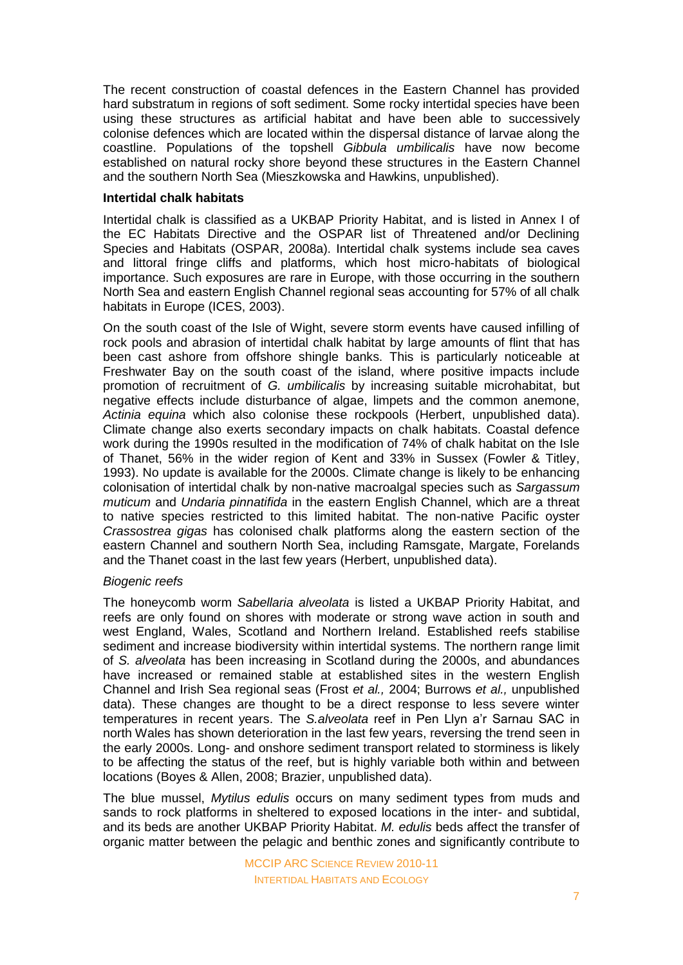The recent construction of coastal defences in the Eastern Channel has provided hard substratum in regions of soft sediment. Some rocky intertidal species have been using these structures as artificial habitat and have been able to successively colonise defences which are located within the dispersal distance of larvae along the coastline. Populations of the topshell *Gibbula umbilicalis* have now become established on natural rocky shore beyond these structures in the Eastern Channel and the southern North Sea (Mieszkowska and Hawkins, unpublished).

#### **Intertidal chalk habitats**

Intertidal chalk is classified as a UKBAP Priority Habitat, and is listed in Annex I of the EC Habitats Directive and the OSPAR list of Threatened and/or Declining Species and Habitats (OSPAR, 2008a). Intertidal chalk systems include sea caves and littoral fringe cliffs and platforms, which host micro-habitats of biological importance. Such exposures are rare in Europe, with those occurring in the southern North Sea and eastern English Channel regional seas accounting for 57% of all chalk habitats in Europe (ICES, 2003).

On the south coast of the Isle of Wight, severe storm events have caused infilling of rock pools and abrasion of intertidal chalk habitat by large amounts of flint that has been cast ashore from offshore shingle banks. This is particularly noticeable at Freshwater Bay on the south coast of the island, where positive impacts include promotion of recruitment of *G. umbilicalis* by increasing suitable microhabitat, but negative effects include disturbance of algae, limpets and the common anemone, *Actinia equina* which also colonise these rockpools (Herbert, unpublished data). Climate change also exerts secondary impacts on chalk habitats. Coastal defence work during the 1990s resulted in the modification of 74% of chalk habitat on the Isle of Thanet, 56% in the wider region of Kent and 33% in Sussex (Fowler & Titley, 1993). No update is available for the 2000s. Climate change is likely to be enhancing colonisation of intertidal chalk by non-native macroalgal species such as *Sargassum muticum* and *Undaria pinnatifida* in the eastern English Channel, which are a threat to native species restricted to this limited habitat. The non-native Pacific oyster *Crassostrea gigas* has colonised chalk platforms along the eastern section of the eastern Channel and southern North Sea, including Ramsgate, Margate, Forelands and the Thanet coast in the last few years (Herbert, unpublished data).

#### *Biogenic reefs*

The honeycomb worm *Sabellaria alveolata* is listed a UKBAP Priority Habitat, and reefs are only found on shores with moderate or strong wave action in south and west England, Wales, Scotland and Northern Ireland. Established reefs stabilise sediment and increase biodiversity within intertidal systems. The northern range limit of *S. alveolata* has been increasing in Scotland during the 2000s, and abundances have increased or remained stable at established sites in the western English Channel and Irish Sea regional seas (Frost *et al.,* 2004; Burrows *et al.,* unpublished data). These changes are thought to be a direct response to less severe winter temperatures in recent years. The *S.alveolata* reef in Pen Llyn a'r Sarnau SAC in north Wales has shown deterioration in the last few years, reversing the trend seen in the early 2000s. Long- and onshore sediment transport related to storminess is likely to be affecting the status of the reef, but is highly variable both within and between locations (Boyes & Allen, 2008; Brazier, unpublished data).

The blue mussel, *Mytilus edulis* occurs on many sediment types from muds and sands to rock platforms in sheltered to exposed locations in the inter- and subtidal, and its beds are another UKBAP Priority Habitat. *M. edulis* beds affect the transfer of organic matter between the pelagic and benthic zones and significantly contribute to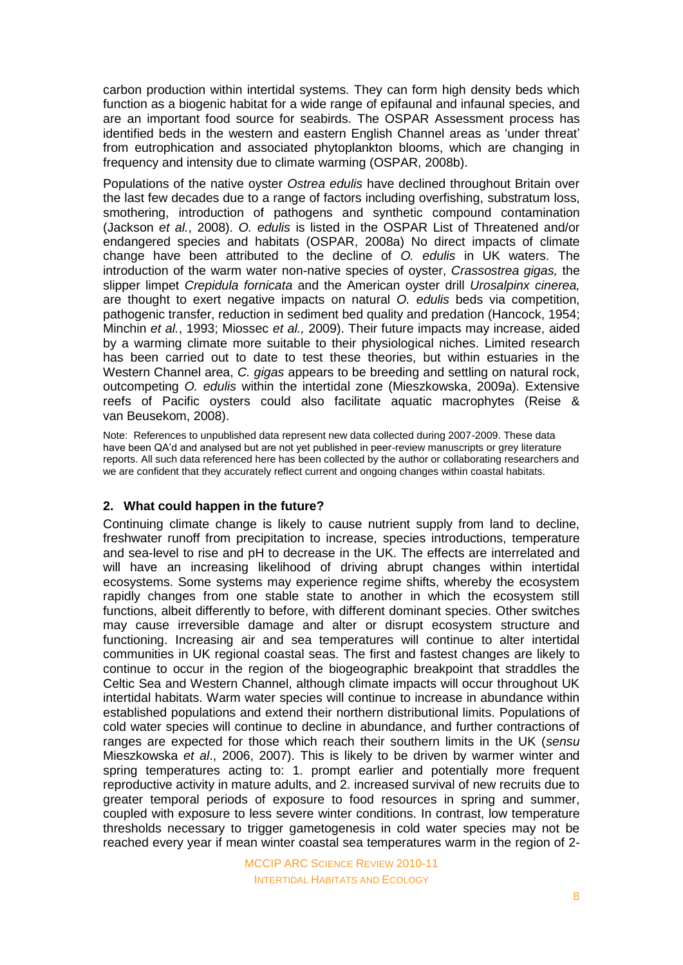carbon production within intertidal systems. They can form high density beds which function as a biogenic habitat for a wide range of epifaunal and infaunal species, and are an important food source for seabirds. The OSPAR Assessment process has identified beds in the western and eastern English Channel areas as 'under threat' from eutrophication and associated phytoplankton blooms, which are changing in frequency and intensity due to climate warming (OSPAR, 2008b).

Populations of the native oyster *Ostrea edulis* have declined throughout Britain over the last few decades due to a range of factors including overfishing, substratum loss, smothering, introduction of pathogens and synthetic compound contamination (Jackson *et al.*, 2008). *O. edulis* is listed in the OSPAR List of Threatened and/or endangered species and habitats (OSPAR, 2008a) No direct impacts of climate change have been attributed to the decline of *O. edulis* in UK waters. The introduction of the warm water non-native species of oyster, *Crassostrea gigas,* the slipper limpet *Crepidula fornicata* and the American oyster drill *Urosalpinx cinerea,* are thought to exert negative impacts on natural *O. edulis* beds via competition, pathogenic transfer, reduction in sediment bed quality and predation (Hancock, 1954; Minchin *et al.*, 1993; Miossec *et al.,* 2009). Their future impacts may increase, aided by a warming climate more suitable to their physiological niches. Limited research has been carried out to date to test these theories, but within estuaries in the Western Channel area, *C. gigas* appears to be breeding and settling on natural rock, outcompeting *O. edulis* within the intertidal zone (Mieszkowska, 2009a). Extensive reefs of Pacific oysters could also facilitate aquatic macrophytes (Reise & van Beusekom, 2008).

Note: References to unpublished data represent new data collected during 2007-2009. These data have been QA'd and analysed but are not yet published in peer-review manuscripts or grey literature reports. All such data referenced here has been collected by the author or collaborating researchers and we are confident that they accurately reflect current and ongoing changes within coastal habitats.

#### **2. What could happen in the future?**

Continuing climate change is likely to cause nutrient supply from land to decline, freshwater runoff from precipitation to increase, species introductions, temperature and sea-level to rise and pH to decrease in the UK. The effects are interrelated and will have an increasing likelihood of driving abrupt changes within intertidal ecosystems. Some systems may experience regime shifts, whereby the ecosystem rapidly changes from one stable state to another in which the ecosystem still functions, albeit differently to before, with different dominant species. Other switches may cause irreversible damage and alter or disrupt ecosystem structure and functioning. Increasing air and sea temperatures will continue to alter intertidal communities in UK regional coastal seas. The first and fastest changes are likely to continue to occur in the region of the biogeographic breakpoint that straddles the Celtic Sea and Western Channel, although climate impacts will occur throughout UK intertidal habitats. Warm water species will continue to increase in abundance within established populations and extend their northern distributional limits. Populations of cold water species will continue to decline in abundance, and further contractions of ranges are expected for those which reach their southern limits in the UK (*sensu* Mieszkowska *et al*., 2006, 2007). This is likely to be driven by warmer winter and spring temperatures acting to: 1. prompt earlier and potentially more frequent reproductive activity in mature adults, and 2. increased survival of new recruits due to greater temporal periods of exposure to food resources in spring and summer, coupled with exposure to less severe winter conditions. In contrast, low temperature thresholds necessary to trigger gametogenesis in cold water species may not be reached every year if mean winter coastal sea temperatures warm in the region of 2-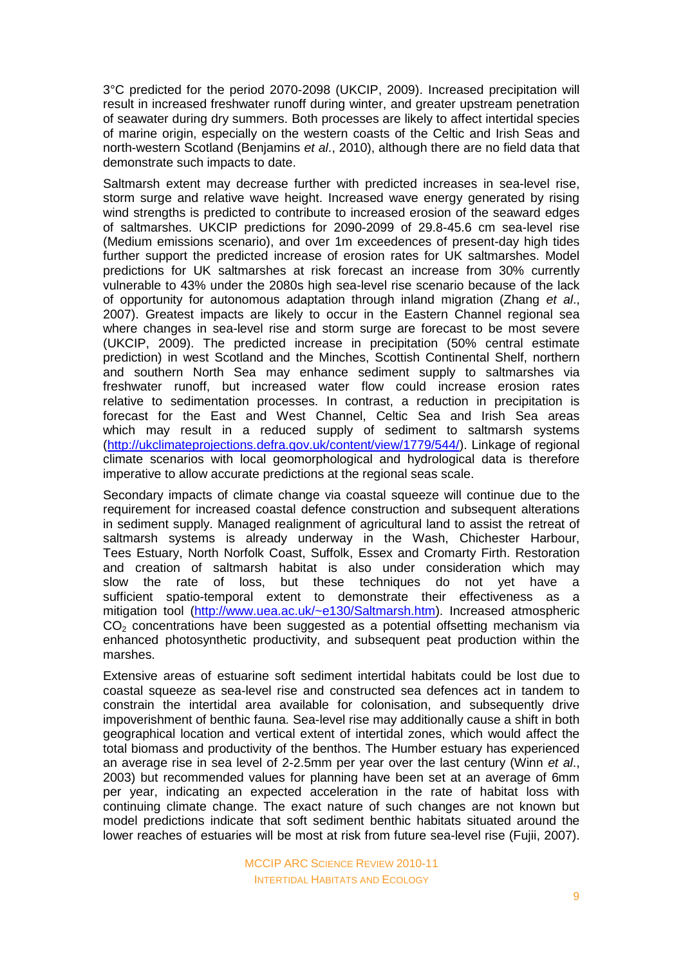3°C predicted for the period 2070-2098 (UKCIP, 2009). Increased precipitation will result in increased freshwater runoff during winter, and greater upstream penetration of seawater during dry summers. Both processes are likely to affect intertidal species of marine origin, especially on the western coasts of the Celtic and Irish Seas and north-western Scotland (Benjamins *et al*., 2010), although there are no field data that demonstrate such impacts to date.

Saltmarsh extent may decrease further with predicted increases in sea-level rise, storm surge and relative wave height. Increased wave energy generated by rising wind strengths is predicted to contribute to increased erosion of the seaward edges of saltmarshes. UKCIP predictions for 2090-2099 of 29.8-45.6 cm sea-level rise (Medium emissions scenario), and over 1m exceedences of present-day high tides further support the predicted increase of erosion rates for UK saltmarshes. Model predictions for UK saltmarshes at risk forecast an increase from 30% currently vulnerable to 43% under the 2080s high sea-level rise scenario because of the lack of opportunity for autonomous adaptation through inland migration (Zhang *et al*., 2007). Greatest impacts are likely to occur in the Eastern Channel regional sea where changes in sea-level rise and storm surge are forecast to be most severe (UKCIP, 2009). The predicted increase in precipitation (50% central estimate prediction) in west Scotland and the Minches, Scottish Continental Shelf, northern and southern North Sea may enhance sediment supply to saltmarshes via freshwater runoff, but increased water flow could increase erosion rates relative to sedimentation processes. In contrast, a reduction in precipitation is forecast for the East and West Channel, Celtic Sea and Irish Sea areas which may result in a reduced supply of sediment to saltmarsh systems [\(http://ukclimateprojections.defra.gov.uk/content/view/1779/544/\)](http://ukclimateprojections.defra.gov.uk/content/view/1779/544/). Linkage of regional climate scenarios with local geomorphological and hydrological data is therefore imperative to allow accurate predictions at the regional seas scale.

Secondary impacts of climate change via coastal squeeze will continue due to the requirement for increased coastal defence construction and subsequent alterations in sediment supply. Managed realignment of agricultural land to assist the retreat of saltmarsh systems is already underway in the Wash, Chichester Harbour, Tees Estuary, North Norfolk Coast, Suffolk, Essex and Cromarty Firth. Restoration and creation of saltmarsh habitat is also under consideration which may slow the rate of loss, but these techniques do not yet have a sufficient spatio-temporal extent to demonstrate their effectiveness as a mitigation tool [\(http://www.uea.ac.uk/~e130/Saltmarsh.htm\)](http://www.uea.ac.uk/~e130/Saltmarsh.htm). Increased atmospheric  $CO<sub>2</sub>$  concentrations have been suggested as a potential offsetting mechanism via enhanced photosynthetic productivity, and subsequent peat production within the marshes.

Extensive areas of estuarine soft sediment intertidal habitats could be lost due to coastal squeeze as sea-level rise and constructed sea defences act in tandem to constrain the intertidal area available for colonisation, and subsequently drive impoverishment of benthic fauna. Sea-level rise may additionally cause a shift in both geographical location and vertical extent of intertidal zones, which would affect the total biomass and productivity of the benthos. The Humber estuary has experienced an average rise in sea level of 2-2.5mm per year over the last century (Winn *et al*., 2003) but recommended values for planning have been set at an average of 6mm per year, indicating an expected acceleration in the rate of habitat loss with continuing climate change. The exact nature of such changes are not known but model predictions indicate that soft sediment benthic habitats situated around the lower reaches of estuaries will be most at risk from future sea-level rise (Fujii, 2007).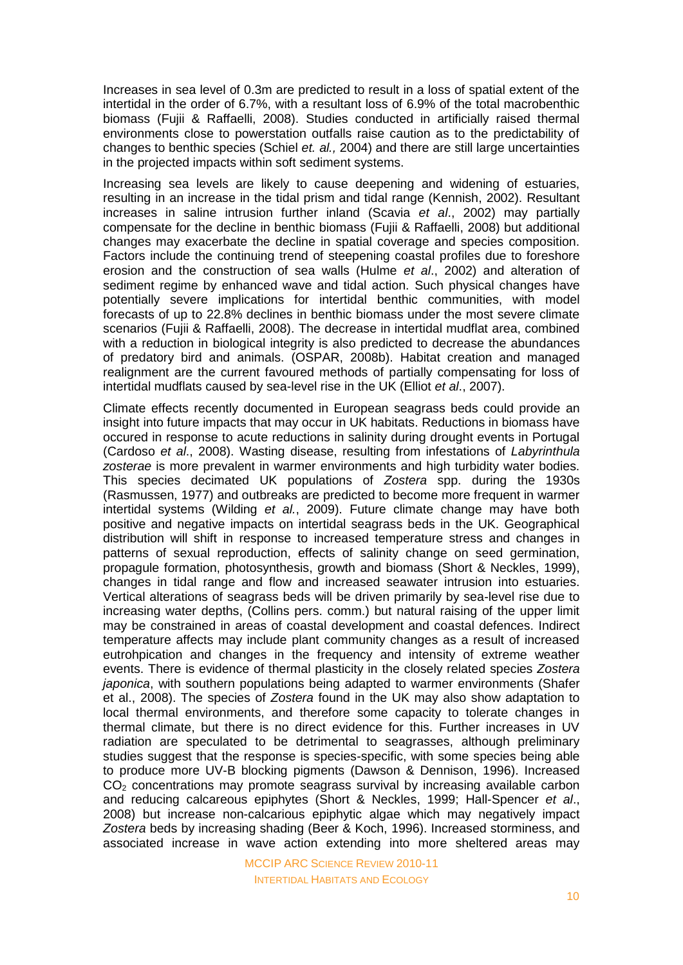Increases in sea level of 0.3m are predicted to result in a loss of spatial extent of the intertidal in the order of 6.7%, with a resultant loss of 6.9% of the total macrobenthic biomass (Fujii & Raffaelli, 2008). Studies conducted in artificially raised thermal environments close to powerstation outfalls raise caution as to the predictability of changes to benthic species (Schiel *et. al.,* 2004) and there are still large uncertainties in the projected impacts within soft sediment systems.

Increasing sea levels are likely to cause deepening and widening of estuaries, resulting in an increase in the tidal prism and tidal range (Kennish, 2002). Resultant increases in saline intrusion further inland (Scavia *et al*., 2002) may partially compensate for the decline in benthic biomass (Fujii & Raffaelli, 2008) but additional changes may exacerbate the decline in spatial coverage and species composition. Factors include the continuing trend of steepening coastal profiles due to foreshore erosion and the construction of sea walls (Hulme *et al*., 2002) and alteration of sediment regime by enhanced wave and tidal action. Such physical changes have potentially severe implications for intertidal benthic communities, with model forecasts of up to 22.8% declines in benthic biomass under the most severe climate scenarios (Fujii & Raffaelli, 2008). The decrease in intertidal mudflat area, combined with a reduction in biological integrity is also predicted to decrease the abundances of predatory bird and animals. (OSPAR, 2008b). Habitat creation and managed realignment are the current favoured methods of partially compensating for loss of intertidal mudflats caused by sea-level rise in the UK (Elliot *et al*., 2007).

Climate effects recently documented in European seagrass beds could provide an insight into future impacts that may occur in UK habitats. Reductions in biomass have occured in response to acute reductions in salinity during drought events in Portugal (Cardoso *et al*., 2008). Wasting disease, resulting from infestations of *Labyrinthula zosterae* is more prevalent in warmer environments and high turbidity water bodies. This species decimated UK populations of *Zostera* spp. during the 1930s (Rasmussen, 1977) and outbreaks are predicted to become more frequent in warmer intertidal systems (Wilding *et al.*, 2009). Future climate change may have both positive and negative impacts on intertidal seagrass beds in the UK. Geographical distribution will shift in response to increased temperature stress and changes in patterns of sexual reproduction, effects of salinity change on seed germination, propagule formation, photosynthesis, growth and biomass (Short & Neckles, 1999), changes in tidal range and flow and increased seawater intrusion into estuaries. Vertical alterations of seagrass beds will be driven primarily by sea-level rise due to increasing water depths, (Collins pers. comm.) but natural raising of the upper limit may be constrained in areas of coastal development and coastal defences. Indirect temperature affects may include plant community changes as a result of increased eutrohpication and changes in the frequency and intensity of extreme weather events. There is evidence of thermal plasticity in the closely related species *Zostera japonica*, with southern populations being adapted to warmer environments (Shafer et al., 2008). The species of *Zostera* found in the UK may also show adaptation to local thermal environments, and therefore some capacity to tolerate changes in thermal climate, but there is no direct evidence for this. Further increases in UV radiation are speculated to be detrimental to seagrasses, although preliminary studies suggest that the response is species-specific, with some species being able to produce more UV-B blocking pigments (Dawson & Dennison, 1996). Increased  $CO<sub>2</sub>$  concentrations may promote seagrass survival by increasing available carbon and reducing calcareous epiphytes (Short & Neckles, 1999; Hall-Spencer *et al*., 2008) but increase non-calcarious epiphytic algae which may negatively impact *Zostera* beds by increasing shading (Beer & Koch, 1996). Increased storminess, and associated increase in wave action extending into more sheltered areas may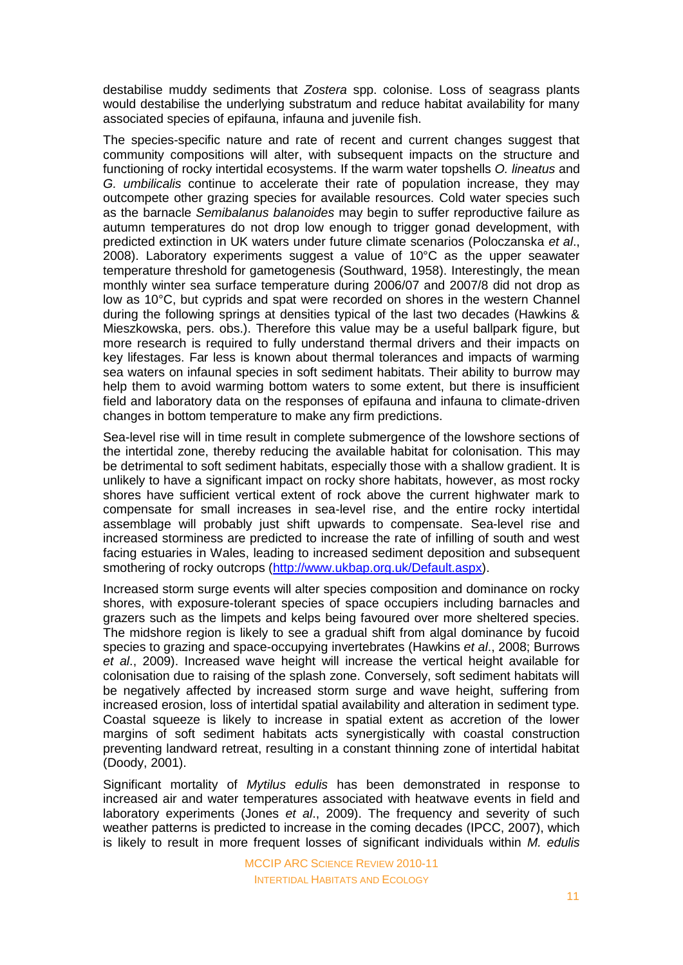destabilise muddy sediments that *Zostera* spp. colonise. Loss of seagrass plants would destabilise the underlying substratum and reduce habitat availability for many associated species of epifauna, infauna and juvenile fish.

The species-specific nature and rate of recent and current changes suggest that community compositions will alter, with subsequent impacts on the structure and functioning of rocky intertidal ecosystems. If the warm water topshells *O. lineatus* and *G. umbilicalis* continue to accelerate their rate of population increase, they may outcompete other grazing species for available resources. Cold water species such as the barnacle *Semibalanus balanoides* may begin to suffer reproductive failure as autumn temperatures do not drop low enough to trigger gonad development, with predicted extinction in UK waters under future climate scenarios (Poloczanska *et al*., 2008). Laboratory experiments suggest a value of 10°C as the upper seawater temperature threshold for gametogenesis (Southward, 1958). Interestingly, the mean monthly winter sea surface temperature during 2006/07 and 2007/8 did not drop as low as 10°C, but cyprids and spat were recorded on shores in the western Channel during the following springs at densities typical of the last two decades (Hawkins & Mieszkowska, pers. obs.). Therefore this value may be a useful ballpark figure, but more research is required to fully understand thermal drivers and their impacts on key lifestages. Far less is known about thermal tolerances and impacts of warming sea waters on infaunal species in soft sediment habitats. Their ability to burrow may help them to avoid warming bottom waters to some extent, but there is insufficient field and laboratory data on the responses of epifauna and infauna to climate-driven changes in bottom temperature to make any firm predictions.

Sea-level rise will in time result in complete submergence of the lowshore sections of the intertidal zone, thereby reducing the available habitat for colonisation. This may be detrimental to soft sediment habitats, especially those with a shallow gradient. It is unlikely to have a significant impact on rocky shore habitats, however, as most rocky shores have sufficient vertical extent of rock above the current highwater mark to compensate for small increases in sea-level rise, and the entire rocky intertidal assemblage will probably just shift upwards to compensate. Sea-level rise and increased storminess are predicted to increase the rate of infilling of south and west facing estuaries in Wales, leading to increased sediment deposition and subsequent smothering of rocky outcrops [\(http://www.ukbap.org.uk/Default.aspx\)](http://www.ukbap.org.uk/Default.aspx).

Increased storm surge events will alter species composition and dominance on rocky shores, with exposure-tolerant species of space occupiers including barnacles and grazers such as the limpets and kelps being favoured over more sheltered species. The midshore region is likely to see a gradual shift from algal dominance by fucoid species to grazing and space-occupying invertebrates (Hawkins *et al*., 2008; Burrows *et al*., 2009). Increased wave height will increase the vertical height available for colonisation due to raising of the splash zone. Conversely, soft sediment habitats will be negatively affected by increased storm surge and wave height, suffering from increased erosion, loss of intertidal spatial availability and alteration in sediment type. Coastal squeeze is likely to increase in spatial extent as accretion of the lower margins of soft sediment habitats acts synergistically with coastal construction preventing landward retreat, resulting in a constant thinning zone of intertidal habitat (Doody, 2001).

Significant mortality of *Mytilus edulis* has been demonstrated in response to increased air and water temperatures associated with heatwave events in field and laboratory experiments (Jones *et al*., 2009). The frequency and severity of such weather patterns is predicted to increase in the coming decades (IPCC, 2007), which is likely to result in more frequent losses of significant individuals within *M. edulis*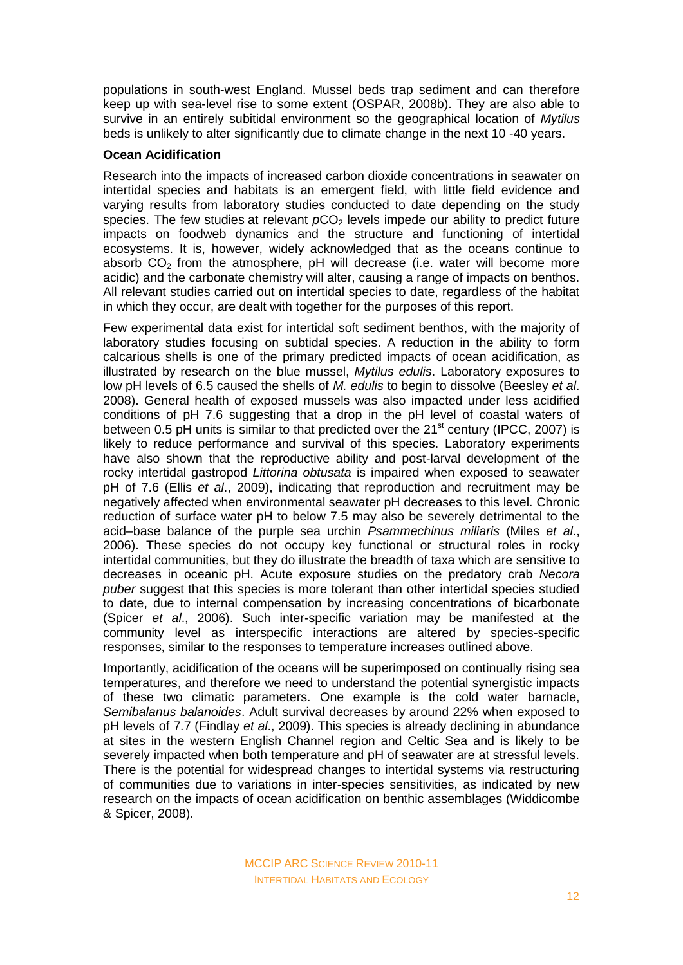populations in south-west England. Mussel beds trap sediment and can therefore keep up with sea-level rise to some extent (OSPAR, 2008b). They are also able to survive in an entirely subitidal environment so the geographical location of *Mytilus* beds is unlikely to alter significantly due to climate change in the next 10 -40 years.

### **Ocean Acidification**

Research into the impacts of increased carbon dioxide concentrations in seawater on intertidal species and habitats is an emergent field, with little field evidence and varying results from laboratory studies conducted to date depending on the study species. The few studies at relevant  $pCO<sub>2</sub>$  levels impede our ability to predict future impacts on foodweb dynamics and the structure and functioning of intertidal ecosystems. It is, however, widely acknowledged that as the oceans continue to absorb  $CO<sub>2</sub>$  from the atmosphere, pH will decrease (i.e. water will become more acidic) and the carbonate chemistry will alter, causing a range of impacts on benthos. All relevant studies carried out on intertidal species to date, regardless of the habitat in which they occur, are dealt with together for the purposes of this report.

Few experimental data exist for intertidal soft sediment benthos, with the majority of laboratory studies focusing on subtidal species. A reduction in the ability to form calcarious shells is one of the primary predicted impacts of ocean acidification, as illustrated by research on the blue mussel, *Mytilus edulis*. Laboratory exposures to low pH levels of 6.5 caused the shells of *M. edulis* to begin to dissolve (Beesley *et al*. 2008). General health of exposed mussels was also impacted under less acidified conditions of pH 7.6 suggesting that a drop in the pH level of coastal waters of between 0.5 pH units is similar to that predicted over the  $21<sup>st</sup>$  century (IPCC, 2007) is likely to reduce performance and survival of this species. Laboratory experiments have also shown that the reproductive ability and post-larval development of the rocky intertidal gastropod *Littorina obtusata* is impaired when exposed to seawater pH of 7.6 (Ellis *et al*., 2009), indicating that reproduction and recruitment may be negatively affected when environmental seawater pH decreases to this level. Chronic reduction of surface water pH to below 7.5 may also be severely detrimental to the acid–base balance of the purple sea urchin *Psammechinus miliaris* (Miles *et al*., 2006). These species do not occupy key functional or structural roles in rocky intertidal communities, but they do illustrate the breadth of taxa which are sensitive to decreases in oceanic pH. Acute exposure studies on the predatory crab *Necora puber* suggest that this species is more tolerant than other intertidal species studied to date, due to internal compensation by increasing concentrations of bicarbonate (Spicer *et al*., 2006). Such inter-specific variation may be manifested at the community level as interspecific interactions are altered by species-specific responses, similar to the responses to temperature increases outlined above.

Importantly, acidification of the oceans will be superimposed on continually rising sea temperatures, and therefore we need to understand the potential synergistic impacts of these two climatic parameters. One example is the cold water barnacle, *Semibalanus balanoides*. Adult survival decreases by around 22% when exposed to pH levels of 7.7 (Findlay *et al*., 2009). This species is already declining in abundance at sites in the western English Channel region and Celtic Sea and is likely to be severely impacted when both temperature and pH of seawater are at stressful levels. There is the potential for widespread changes to intertidal systems via restructuring of communities due to variations in inter-species sensitivities, as indicated by new research on the impacts of ocean acidification on benthic assemblages (Widdicombe & Spicer, 2008).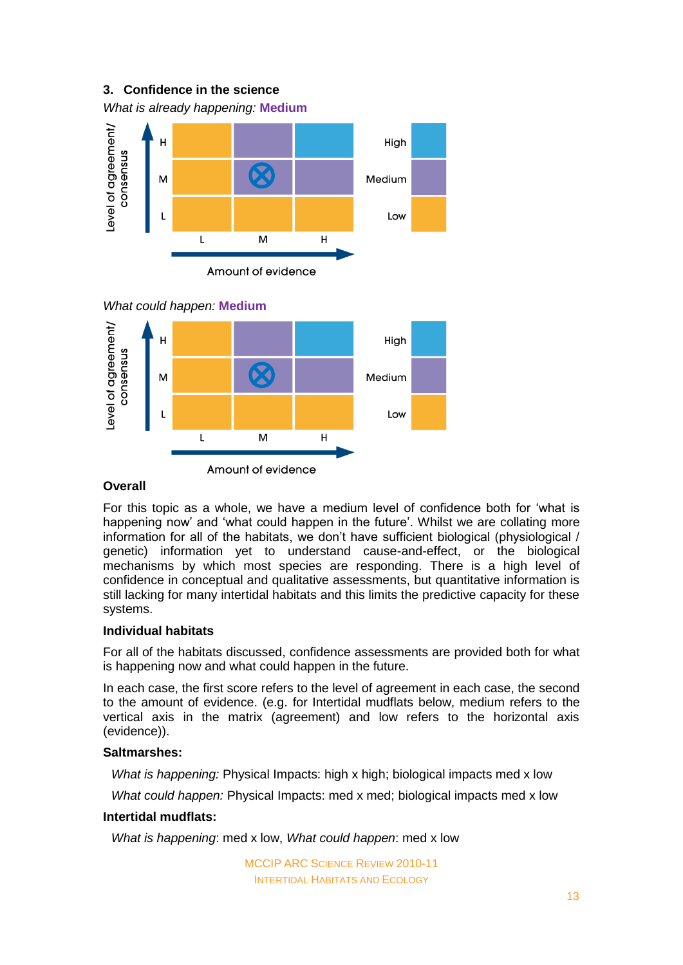# **3. Confidence in the science** *What is already happening:* **Medium** evel of agreement/  $H$ Hiah consensus X M Medium Low  $\mathsf{L}$ M  $H$ Amount of evidence *What could happen:* **Medium** evel of agreement/  $\overline{H}$ High



# **Overall**

For this topic as a whole, we have a medium level of confidence both for 'what is happening now' and 'what could happen in the future'. Whilst we are collating more information for all of the habitats, we don't have sufficient biological (physiological / genetic) information yet to understand cause-and-effect, or the biological mechanisms by which most species are responding. There is a high level of confidence in conceptual and qualitative assessments, but quantitative information is still lacking for many intertidal habitats and this limits the predictive capacity for these systems.

# **Individual habitats**

For all of the habitats discussed, confidence assessments are provided both for what is happening now and what could happen in the future.

In each case, the first score refers to the level of agreement in each case, the second to the amount of evidence. (e.g. for Intertidal mudflats below, medium refers to the vertical axis in the matrix (agreement) and low refers to the horizontal axis (evidence)).

# **Saltmarshes:**

*What is happening:* Physical Impacts: high x high; biological impacts med x low

*What could happen:* Physical Impacts: med x med; biological impacts med x low

# **Intertidal mudflats:**

*What is happening*: med x low, *What could happen*: med x low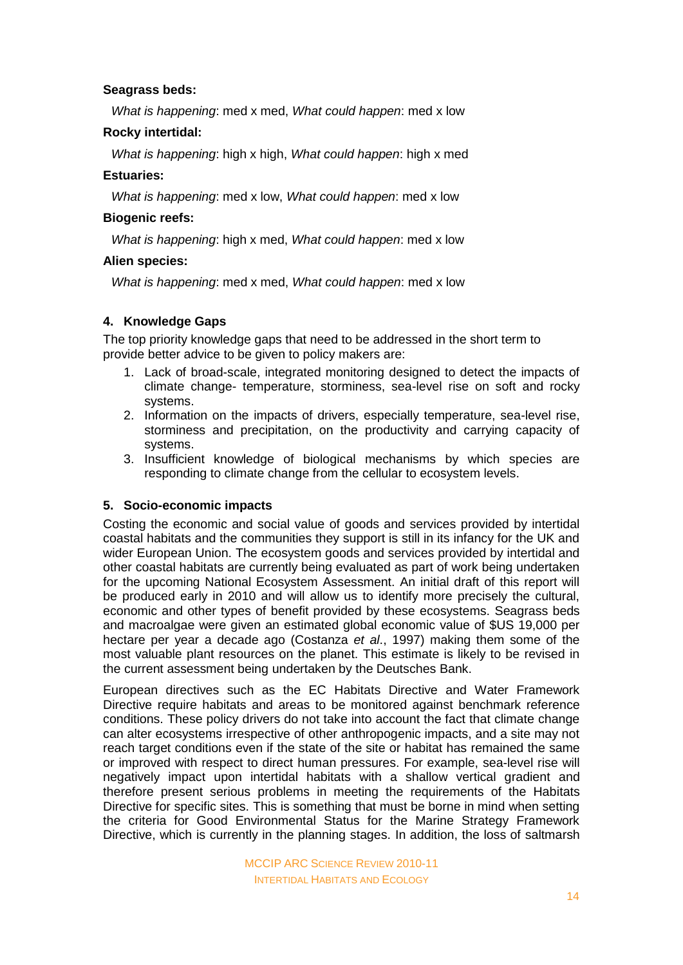# **Seagrass beds:**

*What is happening*: med x med, *What could happen*: med x low

### **Rocky intertidal:**

*What is happening*: high x high, *What could happen*: high x med

# **Estuaries:**

*What is happening*: med x low, *What could happen*: med x low

# **Biogenic reefs:**

*What is happening*: high x med, *What could happen*: med x low

# **Alien species:**

*What is happening*: med x med, *What could happen*: med x low

# **4. Knowledge Gaps**

The top priority knowledge gaps that need to be addressed in the short term to provide better advice to be given to policy makers are:

- 1. Lack of broad-scale, integrated monitoring designed to detect the impacts of climate change- temperature, storminess, sea-level rise on soft and rocky systems.
- 2. Information on the impacts of drivers, especially temperature, sea-level rise, storminess and precipitation, on the productivity and carrying capacity of systems.
- 3. Insufficient knowledge of biological mechanisms by which species are responding to climate change from the cellular to ecosystem levels.

# **5. Socio-economic impacts**

Costing the economic and social value of goods and services provided by intertidal coastal habitats and the communities they support is still in its infancy for the UK and wider European Union. The ecosystem goods and services provided by intertidal and other coastal habitats are currently being evaluated as part of work being undertaken for the upcoming National Ecosystem Assessment. An initial draft of this report will be produced early in 2010 and will allow us to identify more precisely the cultural, economic and other types of benefit provided by these ecosystems. Seagrass beds and macroalgae were given an estimated global economic value of \$US 19,000 per hectare per year a decade ago (Costanza *et al*., 1997) making them some of the most valuable plant resources on the planet. This estimate is likely to be revised in the current assessment being undertaken by the Deutsches Bank.

European directives such as the EC Habitats Directive and Water Framework Directive require habitats and areas to be monitored against benchmark reference conditions. These policy drivers do not take into account the fact that climate change can alter ecosystems irrespective of other anthropogenic impacts, and a site may not reach target conditions even if the state of the site or habitat has remained the same or improved with respect to direct human pressures. For example, sea-level rise will negatively impact upon intertidal habitats with a shallow vertical gradient and therefore present serious problems in meeting the requirements of the Habitats Directive for specific sites. This is something that must be borne in mind when setting the criteria for Good Environmental Status for the Marine Strategy Framework Directive, which is currently in the planning stages. In addition, the loss of saltmarsh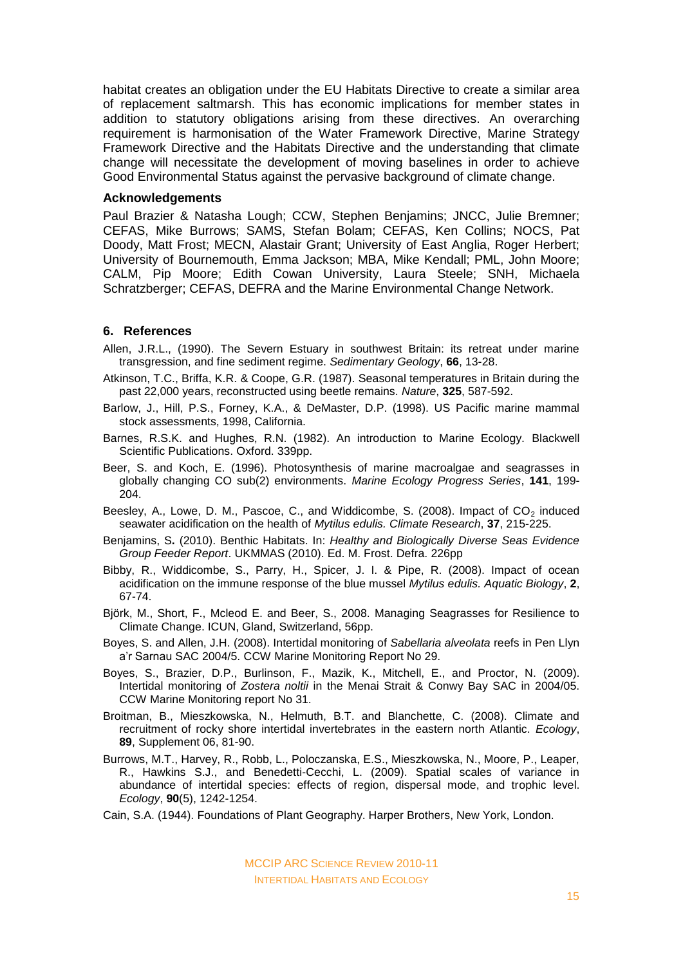habitat creates an obligation under the EU Habitats Directive to create a similar area of replacement saltmarsh. This has economic implications for member states in addition to statutory obligations arising from these directives. An overarching requirement is harmonisation of the Water Framework Directive, Marine Strategy Framework Directive and the Habitats Directive and the understanding that climate change will necessitate the development of moving baselines in order to achieve Good Environmental Status against the pervasive background of climate change.

#### **Acknowledgements**

Paul Brazier & Natasha Lough; CCW, Stephen Benjamins; JNCC, Julie Bremner; CEFAS, Mike Burrows; SAMS, Stefan Bolam; CEFAS, Ken Collins; NOCS, Pat Doody, Matt Frost; MECN, Alastair Grant; University of East Anglia, Roger Herbert; University of Bournemouth, Emma Jackson; MBA, Mike Kendall; PML, John Moore; CALM, Pip Moore; Edith Cowan University, Laura Steele; SNH, Michaela Schratzberger; CEFAS, DEFRA and the Marine Environmental Change Network.

#### **6. References**

- Allen, J.R.L., (1990). The Severn Estuary in southwest Britain: its retreat under marine transgression, and fine sediment regime. *Sedimentary Geology*, **66**, 13-28.
- Atkinson, T.C., Briffa, K.R. & Coope, G.R. (1987). Seasonal temperatures in Britain during the past 22,000 years, reconstructed using beetle remains. *Nature*, **325**, 587-592.
- Barlow, J., Hill, P.S., Forney, K.A., & DeMaster, D.P. (1998). US Pacific marine mammal stock assessments, 1998, California.
- Barnes, R.S.K. and Hughes, R.N. (1982). An introduction to Marine Ecology. Blackwell Scientific Publications. Oxford. 339pp.
- Beer, S. and Koch, E. (1996). Photosynthesis of marine macroalgae and seagrasses in globally changing CO sub(2) environments. *Marine Ecology Progress Series*, **141**, 199- 204.
- Beesley, A., Lowe, D. M., Pascoe, C., and Widdicombe, S. (2008). Impact of  $CO<sub>2</sub>$  induced seawater acidification on the health of *Mytilus edulis. Climate Research*, **37**, 215-225.
- Benjamins, S**.** (2010). Benthic Habitats. In: *Healthy and Biologically Diverse Seas Evidence Group Feeder Report*. UKMMAS (2010). Ed. M. Frost. Defra. 226pp
- Bibby, R., Widdicombe, S., Parry, H., Spicer, J. I. & Pipe, R. (2008). Impact of ocean acidification on the immune response of the blue mussel *Mytilus edulis. Aquatic Biology*, **2**, 67-74.
- Björk, M., Short, F., Mcleod E. and Beer, S., 2008. Managing Seagrasses for Resilience to Climate Change. ICUN, Gland, Switzerland, 56pp.
- Boyes, S. and Allen, J.H. (2008). Intertidal monitoring of *Sabellaria alveolata* reefs in Pen Llyn a'r Sarnau SAC 2004/5. CCW Marine Monitoring Report No 29.
- Boyes, S., Brazier, D.P., Burlinson, F., Mazik, K., Mitchell, E., and Proctor, N. (2009). Intertidal monitoring of *Zostera noltii* in the Menai Strait & Conwy Bay SAC in 2004/05. CCW Marine Monitoring report No 31.
- Broitman, B., Mieszkowska, N., Helmuth, B.T. and Blanchette, C. (2008). Climate and recruitment of rocky shore intertidal invertebrates in the eastern north Atlantic. *Ecology*, **89**, Supplement 06, 81-90.
- Burrows, M.T., Harvey, R., Robb, L., Poloczanska, E.S., Mieszkowska, N., Moore, P., Leaper, R., Hawkins S.J., and Benedetti-Cecchi, L. (2009). Spatial scales of variance in abundance of intertidal species: effects of region, dispersal mode, and trophic level. *Ecology*, **90**(5), 1242-1254.
- Cain, S.A. (1944). Foundations of Plant Geography. Harper Brothers, New York, London.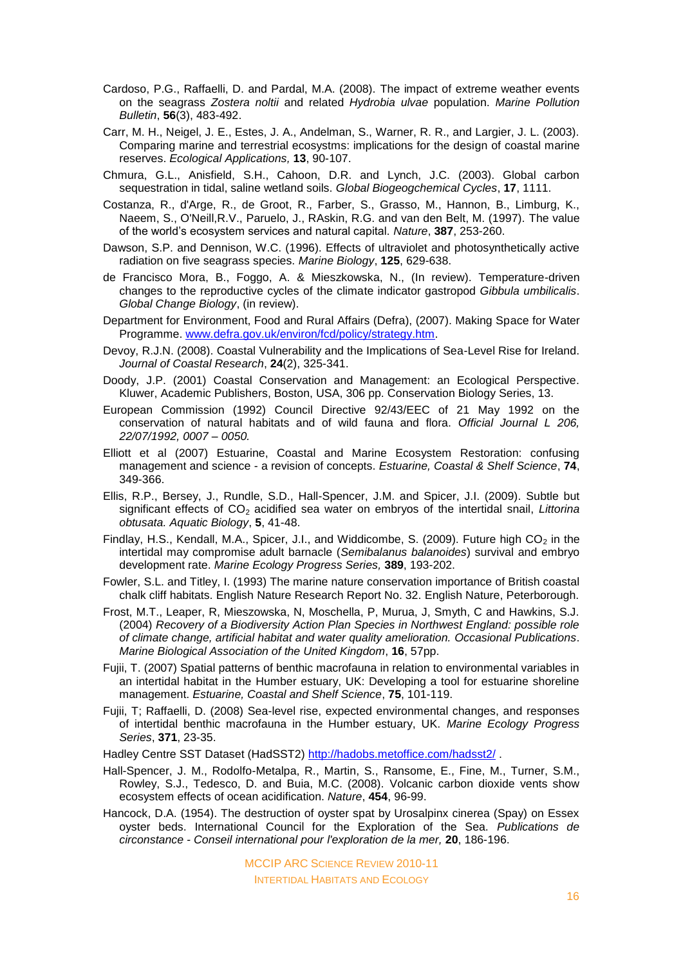- Cardoso, P.G., Raffaelli, D. and Pardal, M.A. (2008). The impact of extreme weather events on the seagrass *Zostera noltii* and related *Hydrobia ulvae* population. *Marine Pollution Bulletin*, **56**(3), 483-492.
- Carr, M. H., Neigel, J. E., Estes, J. A., Andelman, S., Warner, R. R., and Largier, J. L. (2003). Comparing marine and terrestrial ecosystms: implications for the design of coastal marine reserves. *Ecological Applications,* **13**, 90-107.
- Chmura, G.L., Anisfield, S.H., Cahoon, D.R. and Lynch, J.C. (2003). Global carbon sequestration in tidal, saline wetland soils. *Global Biogeogchemical Cycles*, **17**, 1111.
- Costanza, R., d'Arge, R., de Groot, R., Farber, S., Grasso, M., Hannon, B., Limburg, K., Naeem, S., O'Neill,R.V., Paruelo, J., RAskin, R.G. and van den Belt, M. (1997). The value of the world's ecosystem services and natural capital. *Nature*, **387**, 253-260.
- Dawson, S.P. and Dennison, W.C. (1996). Effects of ultraviolet and photosynthetically active radiation on five seagrass species. *Marine Biology*, **125**, 629-638.
- de Francisco Mora, B., Foggo, A. & Mieszkowska, N., (In review). Temperature-driven changes to the reproductive cycles of the climate indicator gastropod *Gibbula umbilicalis*. *Global Change Biology*, (in review).
- Department for Environment, Food and Rural Affairs (Defra), (2007). Making Space for Water Programme. [www.defra.gov.uk/environ/fcd/policy/strategy.htm.](http://www.defra.gov.uk/environ/fcd/policy/strategy.htm)
- Devoy, R.J.N. (2008). Coastal Vulnerability and the Implications of Sea-Level Rise for Ireland. *Journal of Coastal Research*, **24**(2), 325-341.
- Doody, J.P. (2001) Coastal Conservation and Management: an Ecological Perspective. Kluwer, Academic Publishers, Boston, USA, 306 pp. Conservation Biology Series, 13.
- European Commission (1992) Council Directive 92/43/EEC of 21 May 1992 on the conservation of natural habitats and of wild fauna and flora. *Official Journal L 206, 22/07/1992, 0007 – 0050.*
- Elliott et al (2007) Estuarine, Coastal and Marine Ecosystem Restoration: confusing management and science - a revision of concepts. *Estuarine, Coastal & Shelf Science*, **74**, 349-366.
- Ellis, R.P., Bersey, J., Rundle, S.D., Hall-Spencer, J.M. and Spicer, J.I. (2009). Subtle but significant effects of CO<sub>2</sub> acidified sea water on embryos of the intertidal snail, *Littorina obtusata. Aquatic Biology*, **5**, 41-48.
- Findlay, H.S., Kendall, M.A., Spicer, J.I., and Widdicombe, S. (2009). Future high  $CO<sub>2</sub>$  in the intertidal may compromise adult barnacle (*Semibalanus balanoides*) survival and embryo development rate. *Marine Ecology Progress Series,* **389**, 193-202.
- Fowler, S.L. and Titley, I. (1993) The marine nature conservation importance of British coastal chalk cliff habitats. English Nature Research Report No. 32. English Nature, Peterborough.
- Frost, M.T., Leaper, R, Mieszowska, N, Moschella, P, Murua, J, Smyth, C and Hawkins, S.J. (2004) *Recovery of a Biodiversity Action Plan Species in Northwest England: possible role of climate change, artificial habitat and water quality amelioration. Occasional Publications*. *Marine Biological Association of the United Kingdom*, **16**, 57pp.
- Fujii, T. (2007) Spatial patterns of benthic macrofauna in relation to environmental variables in an intertidal habitat in the Humber estuary, UK: Developing a tool for estuarine shoreline management. *Estuarine, Coastal and Shelf Science*, **75**, 101-119.
- Fujii, T; Raffaelli, D. (2008) Sea-level rise, expected environmental changes, and responses of intertidal benthic macrofauna in the Humber estuary, UK. *Marine Ecology Progress Series*, **371**, 23-35.
- Hadley Centre SST Dataset (HadSST2) <http://hadobs.metoffice.com/hadsst2/>.
- Hall-Spencer, J. M., Rodolfo-Metalpa, R., Martin, S., Ransome, E., Fine, M., Turner, S.M., Rowley, S.J., Tedesco, D. and Buia, M.C. (2008). Volcanic carbon dioxide vents show ecosystem effects of ocean acidification. *Nature*, **454**, 96-99.
- Hancock, D.A. (1954). The destruction of oyster spat by Urosalpinx cinerea (Spay) on Essex oyster beds. International Council for the Exploration of the Sea. *Publications de circonstance - Conseil international pour l'exploration de la mer,* **20**, 186-196.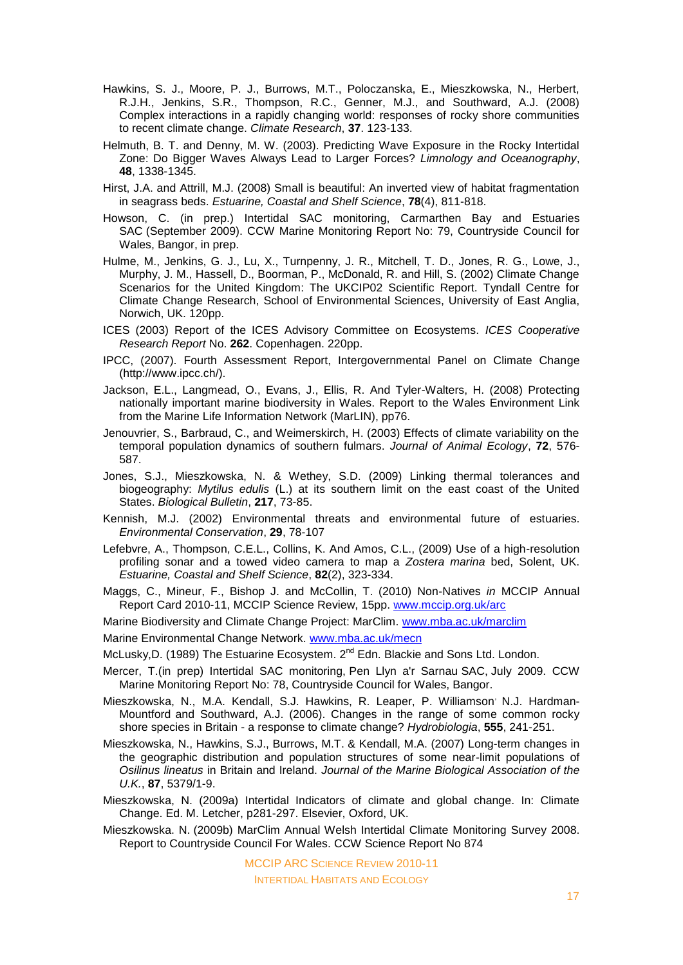- Hawkins, S. J., Moore, P. J., Burrows, M.T., Poloczanska, E., Mieszkowska, N., Herbert, R.J.H., Jenkins, S.R., Thompson, R.C., Genner, M.J., and Southward, A.J. (2008) Complex interactions in a rapidly changing world: responses of rocky shore communities to recent climate change. *Climate Research*, **37**. 123-133.
- Helmuth, B. T. and Denny, M. W. (2003). Predicting Wave Exposure in the Rocky Intertidal Zone: Do Bigger Waves Always Lead to Larger Forces? *Limnology and Oceanography*, **48**, 1338-1345.
- Hirst, J.A. and Attrill, M.J. (2008) Small is beautiful: An inverted view of habitat fragmentation in seagrass beds. *[Estuarine, Coastal and Shelf Science](http://www.sciencedirect.com/science/journal/02727714)*, **78**(4), 811-818.
- Howson, C. (in prep.) Intertidal SAC monitoring, Carmarthen Bay and Estuaries SAC (September 2009). CCW Marine Monitoring Report No: 79, Countryside Council for Wales, Bangor, in prep.
- Hulme, M., Jenkins, G. J., Lu, X., Turnpenny, J. R., Mitchell, T. D., Jones, R. G., Lowe, J., Murphy, J. M., Hassell, D., Boorman, P., McDonald, R. and Hill, S. (2002) Climate Change Scenarios for the United Kingdom: The UKCIP02 Scientific Report. Tyndall Centre for Climate Change Research, School of Environmental Sciences, University of East Anglia, Norwich, UK. 120pp.
- ICES (2003) Report of the ICES Advisory Committee on Ecosystems. *ICES Cooperative Research Report* No. **262**. Copenhagen. 220pp.
- IPCC, (2007). Fourth Assessment Report, Intergovernmental Panel on Climate Change [\(http://www.ipcc.ch/\)](http://www.ipcc.ch/).
- Jackson, E.L., Langmead, O., Evans, J., Ellis, R. And Tyler-Walters, H. (2008) Protecting nationally important marine biodiversity in Wales. Report to the Wales Environment Link from the Marine Life Information Network (MarLIN), pp76.
- Jenouvrier, S., Barbraud, C., and Weimerskirch, H. (2003) Effects of climate variability on the temporal population dynamics of southern fulmars. *Journal of Animal Ecology*, **72**, 576- 587.
- Jones, S.J., Mieszkowska, N. & Wethey, S.D. (2009) Linking thermal tolerances and biogeography: *Mytilus edulis* (L.) at its southern limit on the east coast of the United States. *Biological Bulletin*, **217**, 73-85.
- Kennish, M.J. (2002) Environmental threats and environmental future of estuaries. *Environmental Conservation*, **29**, 78-107
- Lefebvre, A., Thompson, C.E.L., Collins, K. And Amos, C.L., (2009) Use of a high-resolution profiling sonar and a towed video camera to map a *Zostera marina* bed, Solent, UK. *[Estuarine, Coastal and Shelf Science](http://www.sciencedirect.com/science/journal/02727714)*, **82**(2), 323-334.
- Maggs, C., Mineur, F., Bishop J. and McCollin, T. (2010) Non-Natives *in* MCCIP Annual Report Card 2010-11, MCCIP Science Review, 15pp. [www.mccip.org.uk/arc](http://www.mccip.org.uk/arc)
- Marine Biodiversity and Climate Change Project: MarClim. [www.mba.ac.uk/marclim](http://www.mba.ac.uk/marclim)

Marine Environmental Change Network. [www.mba.ac.uk/mecn](http://www.mba.ac.uk/mecn)

- McLusky, D. (1989) The Estuarine Ecosystem. 2<sup>nd</sup> Edn. Blackie and Sons Ltd. London.
- Mercer, T.(in prep) Intertidal SAC monitoring, Pen Llyn a'r Sarnau SAC, July 2009. CCW Marine Monitoring Report No: 78, Countryside Council for Wales, Bangor.
- Mieszkowska, N., M.A. Kendall, S.J. Hawkins, R. Leaper, P. Williamson<sup>,</sup> N.J. Hardman-Mountford and Southward, A.J. (2006). Changes in the range of some common rocky shore species in Britain - a response to climate change? *Hydrobiologia*, **555**, 241-251.
- Mieszkowska, N., Hawkins, S.J., Burrows, M.T. & Kendall, M.A. (2007) Long-term changes in the geographic distribution and population structures of some near-limit populations of *Osilinus lineatus* in Britain and Ireland. *Journal of the Marine Biological Association of the U.K.*, **87**, 5379/1-9.
- Mieszkowska, N. (2009a) Intertidal Indicators of climate and global change. In: Climate Change. Ed. M. Letcher, p281-297. Elsevier, Oxford, UK.
- Mieszkowska. N. (2009b) MarClim Annual Welsh Intertidal Climate Monitoring Survey 2008. Report to Countryside Council For Wales. CCW Science Report No 874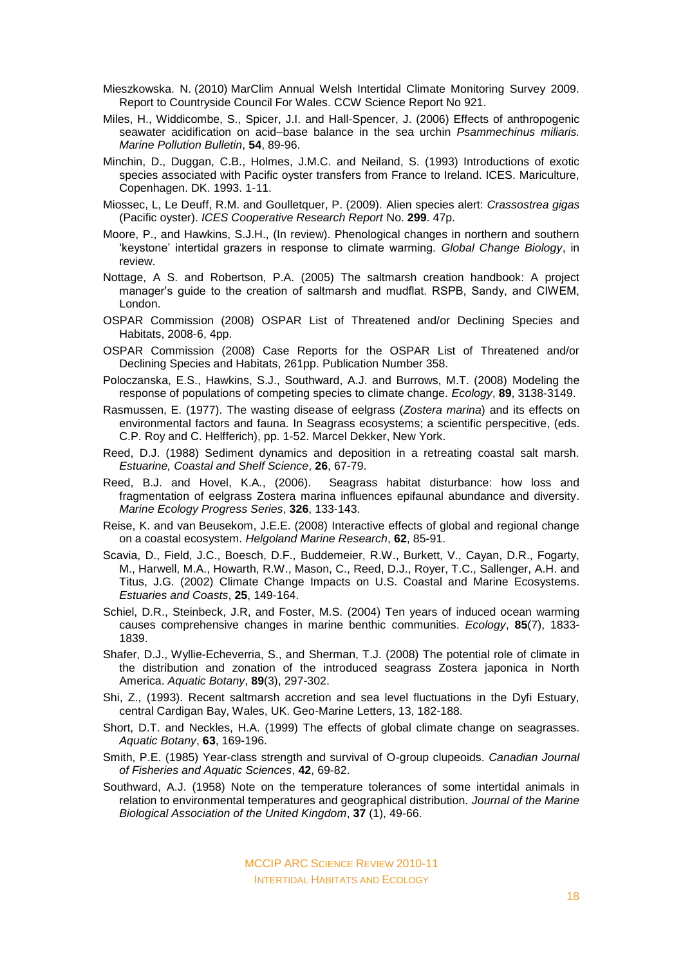- Mieszkowska. N. (2010) MarClim Annual Welsh Intertidal Climate Monitoring Survey 2009. Report to Countryside Council For Wales. CCW Science Report No 921.
- Miles, H., Widdicombe, S., Spicer, J.I. and Hall-Spencer, J. (2006) Effects of anthropogenic seawater acidification on acid–base balance in the sea urchin *Psammechinus miliaris. Marine Pollution Bulletin*, **54**, 89-96.
- Minchin, D., Duggan, C.B., Holmes, J.M.C. and Neiland, S. (1993) Introductions of exotic species associated with Pacific oyster transfers from France to Ireland. ICES. Mariculture, Copenhagen. DK. 1993. 1-11.
- Miossec, L, Le Deuff, R.M. and Goulletquer, P. (2009). Alien species alert: *Crassostrea gigas* (Pacific oyster). *ICES Cooperative Research Report* No. **299**. 47p.
- Moore, P., and Hawkins, S.J.H., (In review). Phenological changes in northern and southern 'keystone' intertidal grazers in response to climate warming. *Global Change Biology*, in review.
- Nottage, A S. and Robertson, P.A. (2005) The saltmarsh creation handbook: A project manager's guide to the creation of saltmarsh and mudflat. RSPB, Sandy, and CIWEM, London.
- OSPAR Commission (2008) OSPAR List of Threatened and/or Declining Species and Habitats, 2008-6, 4pp.
- OSPAR Commission (2008) Case Reports for the OSPAR List of Threatened and/or Declining Species and Habitats, 261pp. Publication Number 358.
- Poloczanska, E.S., Hawkins, S.J., Southward, A.J. and Burrows, M.T. (2008) Modeling the response of populations of competing species to climate change. *Ecology*, **89**, 3138-3149.
- Rasmussen, E. (1977). The wasting disease of eelgrass (*Zostera marina*) and its effects on environmental factors and fauna. In Seagrass ecosystems; a scientific perspecitive, (eds. C.P. Roy and C. Helfferich), pp. 1-52. Marcel Dekker, New York.
- Reed, D.J. (1988) Sediment dynamics and deposition in a retreating coastal salt marsh. *Estuarine, Coastal and Shelf Science*, **26**, 67-79.
- Reed, B.J. and Hovel, K.A., (2006). [Seagrass habitat disturbance: how loss and](http://www.int-res.com/articles/meps2006/326/m326p133.pdf)  [fragmentation of eelgrass Zostera marina influences epifaunal abundance and diversity.](http://www.int-res.com/articles/meps2006/326/m326p133.pdf) *Marine Ecology Progress Series*, **326**, 133-143.
- Reise, K. and van Beusekom, J.E.E. (2008) Interactive effects of global and regional change on a coastal ecosystem. *[Helgoland Marine Research](http://www.springerlink.com/content/103796/?p=e0bb3d3cd2794a43990a27035b44792d&pi=0)*, **62**, 85-91.
- Scavia, D., Field, J.C., Boesch, D.F., Buddemeier, R.W., Burkett, V., Cayan, D.R., Fogarty, M., Harwell, M.A., Howarth, R.W., Mason, C., Reed, D.J., Royer, T.C., Sallenger, A.H. and Titus, J.G. (2002) Climate Change Impacts on U.S. Coastal and Marine Ecosystems. *[Estuaries and Coasts](http://www.springerlink.com/content/120846/?p=73caad22d8d843c7a1d001b690f0dbc2&pi=0)*, **25**, 149-164.
- Schiel, D.R., Steinbeck, J.R, and Foster, M.S. (2004) Ten [years of induced ocean warming](http://www.esajournals.org/doi/abs/10.1890/03-3107)  [causes comprehensive changes in marine benthic](http://www.esajournals.org/doi/abs/10.1890/03-3107) communities. *Ecology*, **85**(7), 1833- 1839.
- Shafer, D.J., Wyllie-Echeverria, S., and Sherman, T.J. (2008) The potential role of climate in the distribution and zonation of the introduced seagrass Zostera japonica in North America. *Aquatic Botany*, **89**(3), 297-302.
- Shi, Z., (1993). Recent saltmarsh accretion and sea level fluctuations in the Dyfi Estuary, central Cardigan Bay, Wales, UK. Geo-Marine Letters, 13, 182-188.
- Short, D.T. and Neckles, H.A. (1999) The effects of global climate change on seagrasses. *Aquatic Botany*, **63**, 169-196.
- Smith, P.E. (1985) Year-class strength and survival of O-group clupeoids. *Canadian Journal of Fisheries and Aquatic Sciences*, **42**, 69-82.
- Southward, A.J. (1958) Note on the temperature tolerances of some intertidal animals in relation to environmental temperatures and geographical distribution. *Journal of the Marine Biological Association of the United Kingdom*, **37** (1), 49-66.